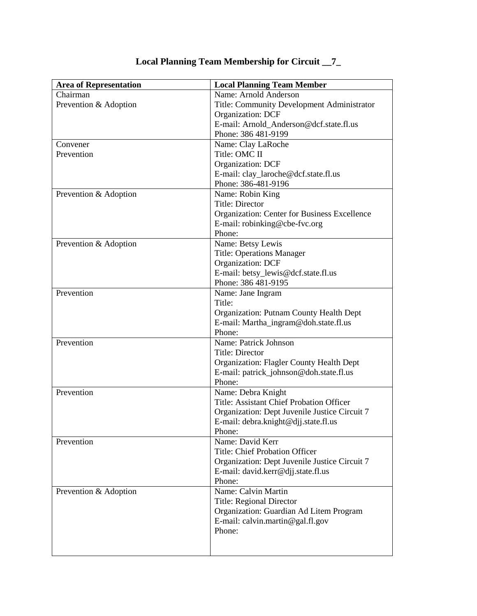| <b>Area of Representation</b> | <b>Local Planning Team Member</b>                   |
|-------------------------------|-----------------------------------------------------|
| Chairman                      | Name: Arnold Anderson                               |
| Prevention & Adoption         | Title: Community Development Administrator          |
|                               | Organization: DCF                                   |
|                               | E-mail: Arnold Anderson@dcf.state.fl.us             |
|                               | Phone: 386 481-9199                                 |
| Convener                      | Name: Clay LaRoche                                  |
| Prevention                    | Title: OMC II                                       |
|                               | Organization: DCF                                   |
|                               | E-mail: clay_laroche@dcf.state.fl.us                |
|                               | Phone: 386-481-9196                                 |
| Prevention & Adoption         | Name: Robin King                                    |
|                               | <b>Title: Director</b>                              |
|                               | <b>Organization: Center for Business Excellence</b> |
|                               | E-mail: robinking@cbe-fvc.org                       |
|                               | Phone:                                              |
| Prevention & Adoption         | Name: Betsy Lewis                                   |
|                               | <b>Title: Operations Manager</b>                    |
|                               | Organization: DCF                                   |
|                               | E-mail: betsy_lewis@dcf.state.fl.us                 |
|                               | Phone: 386 481-9195                                 |
| Prevention                    | Name: Jane Ingram                                   |
|                               | Title:                                              |
|                               | Organization: Putnam County Health Dept             |
|                               | E-mail: Martha_ingram@doh.state.fl.us               |
|                               | Phone:                                              |
| Prevention                    | Name: Patrick Johnson                               |
|                               | <b>Title: Director</b>                              |
|                               | Organization: Flagler County Health Dept            |
|                               | E-mail: patrick_johnson@doh.state.fl.us             |
|                               | Phone:                                              |
| Prevention                    | Name: Debra Knight                                  |
|                               | Title: Assistant Chief Probation Officer            |
|                               | Organization: Dept Juvenile Justice Circuit 7       |
|                               | E-mail: debra.knight@djj.state.fl.us                |
|                               | Phone:                                              |
| Prevention                    | Name: David Kerr<br>Title: Chief Probation Officer  |
|                               |                                                     |
|                               | Organization: Dept Juvenile Justice Circuit 7       |
|                               | E-mail: david.kerr@djj.state.fl.us<br>Phone:        |
|                               | Name: Calvin Martin                                 |
| Prevention & Adoption         | Title: Regional Director                            |
|                               | Organization: Guardian Ad Litem Program             |
|                               |                                                     |
|                               | E-mail: calvin.martin@gal.fl.gov<br>Phone:          |
|                               |                                                     |
|                               |                                                     |

## **Local Planning Team Membership for Circuit \_\_7\_**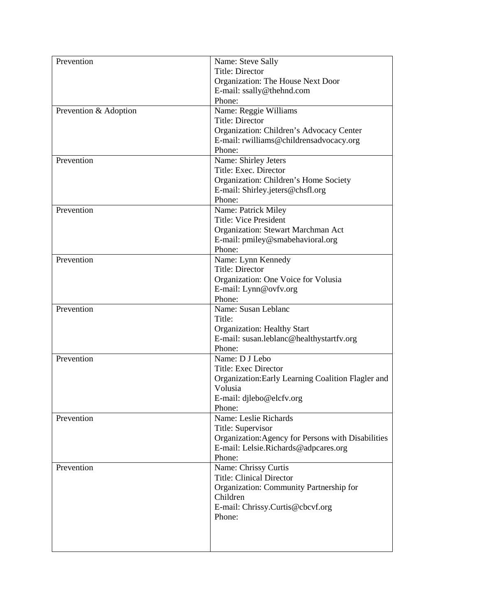| Prevention            | Name: Steve Sally                                  |
|-----------------------|----------------------------------------------------|
|                       | <b>Title: Director</b>                             |
|                       | Organization: The House Next Door                  |
|                       | E-mail: ssally@thehnd.com                          |
|                       | Phone:                                             |
| Prevention & Adoption | Name: Reggie Williams                              |
|                       | <b>Title: Director</b>                             |
|                       | Organization: Children's Advocacy Center           |
|                       | E-mail: rwilliams@childrensadvocacy.org            |
|                       | Phone:                                             |
| Prevention            | Name: Shirley Jeters                               |
|                       | Title: Exec. Director                              |
|                       | Organization: Children's Home Society              |
|                       | E-mail: Shirley.jeters@chsfl.org                   |
|                       | Phone:                                             |
| Prevention            | Name: Patrick Miley                                |
|                       | <b>Title: Vice President</b>                       |
|                       | Organization: Stewart Marchman Act                 |
|                       | E-mail: pmiley@smabehavioral.org                   |
|                       | Phone:                                             |
| Prevention            | Name: Lynn Kennedy                                 |
|                       | Title: Director                                    |
|                       | Organization: One Voice for Volusia                |
|                       | E-mail: Lynn@ovfv.org                              |
|                       | Phone:                                             |
| Prevention            | Name: Susan Leblanc                                |
|                       | Title:                                             |
|                       | <b>Organization: Healthy Start</b>                 |
|                       | E-mail: susan.leblanc@healthystartfv.org           |
|                       | Phone:                                             |
| Prevention            | Name: D J Lebo                                     |
|                       | Title: Exec Director                               |
|                       | Organization: Early Learning Coalition Flagler and |
|                       | Volusia                                            |
|                       | E-mail: djlebo@elcfv.org                           |
|                       | Phone:                                             |
| Prevention            | Name: Leslie Richards                              |
|                       | Title: Supervisor                                  |
|                       | Organization: Agency for Persons with Disabilities |
|                       | E-mail: Lelsie.Richards@adpcares.org               |
|                       | Phone:                                             |
| Prevention            | Name: Chrissy Curtis                               |
|                       | <b>Title: Clinical Director</b>                    |
|                       | Organization: Community Partnership for            |
|                       | Children                                           |
|                       | E-mail: Chrissy.Curtis@cbcvf.org                   |
|                       | Phone:                                             |
|                       |                                                    |
|                       |                                                    |
|                       |                                                    |
|                       |                                                    |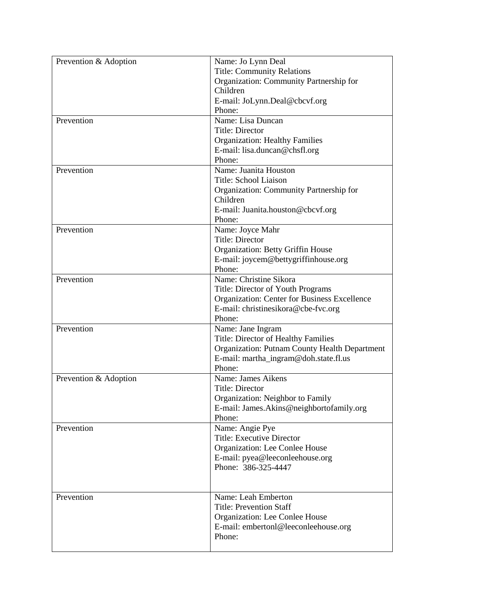| Prevention & Adoption | Name: Jo Lynn Deal                                   |
|-----------------------|------------------------------------------------------|
|                       | <b>Title: Community Relations</b>                    |
|                       | Organization: Community Partnership for              |
|                       | Children                                             |
|                       | E-mail: JoLynn.Deal@cbcvf.org                        |
|                       | Phone:                                               |
| Prevention            | Name: Lisa Duncan                                    |
|                       | Title: Director                                      |
|                       | <b>Organization: Healthy Families</b>                |
|                       | E-mail: lisa.duncan@chsfl.org                        |
|                       | Phone:                                               |
| Prevention            | Name: Juanita Houston                                |
|                       | Title: School Liaison                                |
|                       | Organization: Community Partnership for              |
|                       | Children                                             |
|                       | E-mail: Juanita.houston@cbcvf.org                    |
|                       | Phone:                                               |
| Prevention            | Name: Joyce Mahr                                     |
|                       | <b>Title: Director</b>                               |
|                       | Organization: Betty Griffin House                    |
|                       | E-mail: joycem@bettygriffinhouse.org                 |
|                       | Phone:                                               |
| Prevention            | Name: Christine Sikora                               |
|                       | Title: Director of Youth Programs                    |
|                       | Organization: Center for Business Excellence         |
|                       | E-mail: christinesikora@cbe-fvc.org                  |
|                       | Phone:                                               |
| Prevention            | Name: Jane Ingram                                    |
|                       | Title: Director of Healthy Families                  |
|                       | <b>Organization: Putnam County Health Department</b> |
|                       | E-mail: martha_ingram@doh.state.fl.us                |
|                       | Phone:                                               |
| Prevention & Adoption | Name: James Aikens                                   |
|                       | Title: Director                                      |
|                       | Organization: Neighbor to Family                     |
|                       | E-mail: James.Akins@neighbortofamily.org             |
|                       | Phone:                                               |
| Prevention            | Name: Angie Pye                                      |
|                       | <b>Title: Executive Director</b>                     |
|                       | Organization: Lee Conlee House                       |
|                       | E-mail: pyea@leeconleehouse.org                      |
|                       | Phone: 386-325-4447                                  |
|                       |                                                      |
|                       |                                                      |
| Prevention            | Name: Leah Emberton                                  |
|                       | <b>Title: Prevention Staff</b>                       |
|                       | Organization: Lee Conlee House                       |
|                       | E-mail: embertonl@leeconleehouse.org                 |
|                       | Phone:                                               |
|                       |                                                      |
|                       |                                                      |